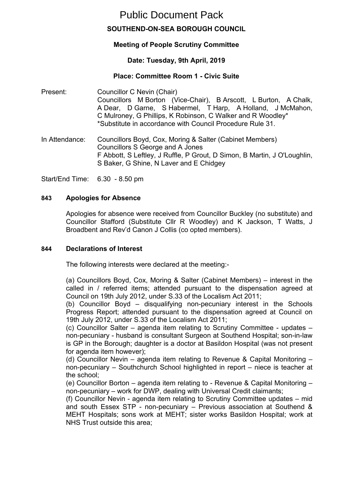# Public Document Pack

# **SOUTHEND-ON-SEA BOROUGH COUNCIL**

# **Meeting of People Scrutiny Committee**

# **Date: Tuesday, 9th April, 2019**

## **Place: Committee Room 1 - Civic Suite**

Present: Councillor C Nevin (Chair) Councillors M Borton (Vice-Chair), B Arscott, L Burton, A Chalk, A Dear, D Garne, S Habermel, T Harp, A Holland, J McMahon, C Mulroney, G Phillips, K Robinson, C Walker and R Woodley\* \*Substitute in accordance with Council Procedure Rule 31.

In Attendance: Councillors Boyd, Cox, Moring & Salter (Cabinet Members) Councillors S George and A Jones F Abbott, S Leftley, J Ruffle, P Grout, D Simon, B Martin, J O'Loughlin, S Baker, G Shine, N Laver and E Chidgey

Start/End Time: 6.30 - 8.50 pm

#### **843 Apologies for Absence**

Apologies for absence were received from Councillor Buckley (no substitute) and Councillor Stafford (Substitute Cllr R Woodley) and K Jackson, T Watts, J Broadbent and Rev'd Canon J Collis (co opted members).

#### **844 Declarations of Interest**

The following interests were declared at the meeting:-

(a) Councillors Boyd, Cox, Moring & Salter (Cabinet Members) – interest in the called in / referred items; attended pursuant to the dispensation agreed at Council on 19th July 2012, under S.33 of the Localism Act 2011;

(b) Councillor Boyd – disqualifying non-pecuniary interest in the Schools Progress Report; attended pursuant to the dispensation agreed at Council on 19th July 2012, under S.33 of the Localism Act 2011;

(c) Councillor Salter – agenda item relating to Scrutiny Committee - updates – non-pecuniary - husband is consultant Surgeon at Southend Hospital; son-in-law is GP in the Borough; daughter is a doctor at Basildon Hospital (was not present for agenda item however);

(d) Councillor Nevin – agenda item relating to Revenue & Capital Monitoring – non-pecuniary – Southchurch School highlighted in report – niece is teacher at the school;

(e) Councillor Borton – agenda item relating to - Revenue & Capital Monitoring – non-pecuniary – work for DWP, dealing with Universal Credit claimants;

(f) Councillor Nevin - agenda item relating to Scrutiny Committee updates – mid and south Essex STP - non-pecuniary – Previous association at Southend & MEHT Hospitals; sons work at MEHT; sister works Basildon Hospital; work at NHS Trust outside this area;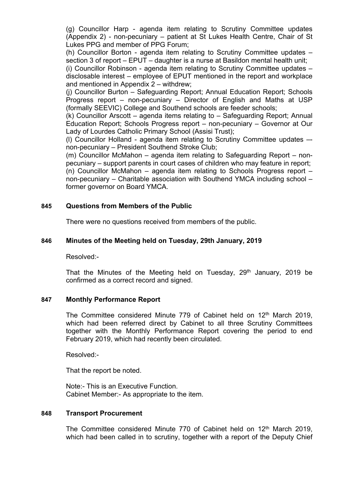(g) Councillor Harp - agenda item relating to Scrutiny Committee updates (Appendix 2) - non-pecuniary – patient at St Lukes Health Centre, Chair of St Lukes PPG and member of PPG Forum;

(h) Councillor Borton - agenda item relating to Scrutiny Committee updates – section 3 of report – EPUT – daughter is a nurse at Basildon mental health unit;

(i) Councillor Robinson - agenda item relating to Scrutiny Committee updates – disclosable interest – employee of EPUT mentioned in the report and workplace and mentioned in Appendix 2 – withdrew;

(j) Councillor Burton – Safeguarding Report; Annual Education Report; Schools Progress report – non-pecuniary – Director of English and Maths at USP (formally SEEVIC) College and Southend schools are feeder schools;

(k) Councillor Arscott – agenda items relating to – Safeguarding Report; Annual Education Report; Schools Progress report – non-pecuniary – Governor at Our Lady of Lourdes Catholic Primary School (Assisi Trust);

(l) Councillor Holland - agenda item relating to Scrutiny Committee updates – non-pecuniary – President Southend Stroke Club;

(m) Councillor McMahon – agenda item relating to Safeguarding Report – nonpecuniary – support parents in court cases of children who may feature in report;

(n) Councillor McMahon – agenda item relating to Schools Progress report – non-pecuniary – Charitable association with Southend YMCA including school – former governor on Board YMCA.

#### **845 Questions from Members of the Public**

There were no questions received from members of the public.

#### **846 Minutes of the Meeting held on Tuesday, 29th January, 2019**

Resolved:-

That the Minutes of the Meeting held on Tuesday, 29<sup>th</sup> January, 2019 be confirmed as a correct record and signed.

#### **847 Monthly Performance Report**

The Committee considered Minute 779 of Cabinet held on 12<sup>th</sup> March 2019, which had been referred direct by Cabinet to all three Scrutiny Committees together with the Monthly Performance Report covering the period to end February 2019, which had recently been circulated.

Resolved:-

That the report be noted.

Note:- This is an Executive Function. Cabinet Member:- As appropriate to the item.

#### **848 Transport Procurement**

The Committee considered Minute 770 of Cabinet held on 12<sup>th</sup> March 2019, which had been called in to scrutiny, together with a report of the Deputy Chief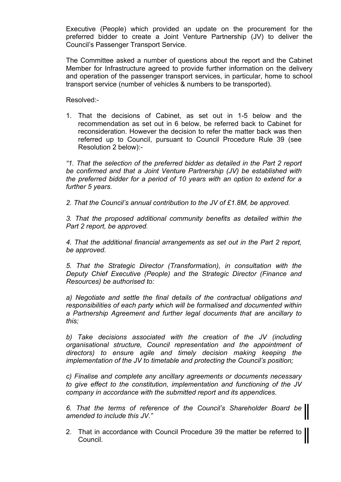Executive (People) which provided an update on the procurement for the preferred bidder to create a Joint Venture Partnership (JV) to deliver the Council's Passenger Transport Service.

The Committee asked a number of questions about the report and the Cabinet Member for Infrastructure agreed to provide further information on the delivery and operation of the passenger transport services, in particular, home to school transport service (number of vehicles & numbers to be transported).

Resolved:-

1. That the decisions of Cabinet, as set out in 1-5 below and the recommendation as set out in 6 below, be referred back to Cabinet for reconsideration. However the decision to refer the matter back was then referred up to Council, pursuant to Council Procedure Rule 39 (see Resolution 2 below):-

*"1. That the selection of the preferred bidder as detailed in the Part 2 report be confirmed and that a Joint Venture Partnership (JV) be established with the preferred bidder for a period of 10 years with an option to extend for a further 5 years.*

*2. That the Council's annual contribution to the JV of £1.8M, be approved.*

*3. That the proposed additional community benefits as detailed within the Part 2 report, be approved.*

*4. That the additional financial arrangements as set out in the Part 2 report, be approved.*

*5. That the Strategic Director (Transformation), in consultation with the Deputy Chief Executive (People) and the Strategic Director (Finance and Resources) be authorised to:*

*a) Negotiate and settle the final details of the contractual obligations and responsibilities of each party which will be formalised and documented within a Partnership Agreement and further legal documents that are ancillary to this;*

*b) Take decisions associated with the creation of the JV (including organisational structure, Council representation and the appointment of directors) to ensure agile and timely decision making keeping the implementation of the JV to timetable and protecting the Council's position;*

*c) Finalise and complete any ancillary agreements or documents necessary to give effect to the constitution, implementation and functioning of the JV company in accordance with the submitted report and its appendices.*

*6. That the terms of reference of the Council's Shareholder Board be amended to include this JV."*

2. That in accordance with Council Procedure 39 the matter be referred to Council.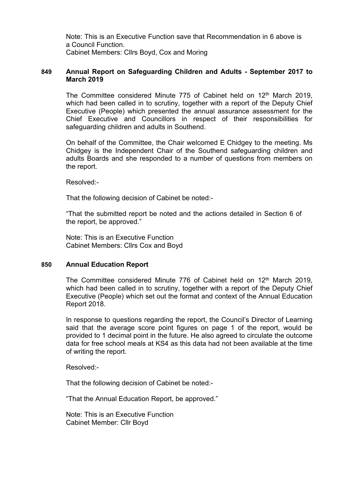Note: This is an Executive Function save that Recommendation in 6 above is a Council Function. Cabinet Members: Cllrs Boyd, Cox and Moring

#### **849 Annual Report on Safeguarding Children and Adults - September 2017 to March 2019**

The Committee considered Minute 775 of Cabinet held on 12<sup>th</sup> March 2019, which had been called in to scrutiny, together with a report of the Deputy Chief Executive (People) which presented the annual assurance assessment for the Chief Executive and Councillors in respect of their responsibilities for safeguarding children and adults in Southend.

On behalf of the Committee, the Chair welcomed E Chidgey to the meeting. Ms Chidgey is the Independent Chair of the Southend safeguarding children and adults Boards and she responded to a number of questions from members on the report.

Resolved:-

That the following decision of Cabinet be noted:-

"That the submitted report be noted and the actions detailed in Section 6 of the report, be approved."

Note: This is an Executive Function Cabinet Members: Cllrs Cox and Boyd

#### **850 Annual Education Report**

The Committee considered Minute 776 of Cabinet held on 12<sup>th</sup> March 2019, which had been called in to scrutiny, together with a report of the Deputy Chief Executive (People) which set out the format and context of the Annual Education Report 2018.

In response to questions regarding the report, the Council's Director of Learning said that the average score point figures on page 1 of the report, would be provided to 1 decimal point in the future. He also agreed to circulate the outcome data for free school meals at KS4 as this data had not been available at the time of writing the report.

Resolved:-

That the following decision of Cabinet be noted:-

"That the Annual Education Report, be approved."

Note: This is an Executive Function Cabinet Member: Cllr Boyd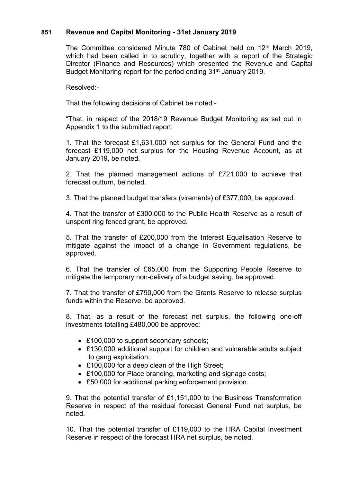## **851 Revenue and Capital Monitoring - 31st January 2019**

The Committee considered Minute 780 of Cabinet held on 12<sup>th</sup> March 2019. which had been called in to scrutiny, together with a report of the Strategic Director (Finance and Resources) which presented the Revenue and Capital Budget Monitoring report for the period ending 31st January 2019.

Resolved:-

That the following decisions of Cabinet be noted:-

"That, in respect of the 2018/19 Revenue Budget Monitoring as set out in Appendix 1 to the submitted report:

1. That the forecast £1,631,000 net surplus for the General Fund and the forecast £119,000 net surplus for the Housing Revenue Account, as at January 2019, be noted.

2. That the planned management actions of £721,000 to achieve that forecast outturn, be noted.

3. That the planned budget transfers (virements) of £377,000, be approved.

4. That the transfer of £300,000 to the Public Health Reserve as a result of unspent ring fenced grant, be approved.

5. That the transfer of £200,000 from the Interest Equalisation Reserve to mitigate against the impact of a change in Government regulations, be approved.

6. That the transfer of £65,000 from the Supporting People Reserve to mitigate the temporary non-delivery of a budget saving, be approved.

7. That the transfer of £790,000 from the Grants Reserve to release surplus funds within the Reserve, be approved.

8. That, as a result of the forecast net surplus, the following one-off investments totalling £480,000 be approved:

- £100,000 to support secondary schools;
- £130,000 additional support for children and vulnerable adults subject to gang exploitation;
- £100,000 for a deep clean of the High Street;
- £100,000 for Place branding, marketing and signage costs;
- £50,000 for additional parking enforcement provision.

9. That the potential transfer of £1,151,000 to the Business Transformation Reserve in respect of the residual forecast General Fund net surplus, be noted.

10. That the potential transfer of £119,000 to the HRA Capital Investment Reserve in respect of the forecast HRA net surplus, be noted.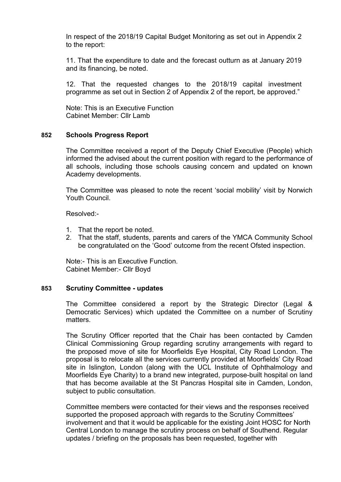In respect of the 2018/19 Capital Budget Monitoring as set out in Appendix 2 to the report:

11. That the expenditure to date and the forecast outturn as at January 2019 and its financing, be noted.

12. That the requested changes to the 2018/19 capital investment programme as set out in Section 2 of Appendix 2 of the report, be approved."

Note: This is an Executive Function Cabinet Member: Cllr Lamb

#### **852 Schools Progress Report**

The Committee received a report of the Deputy Chief Executive (People) which informed the advised about the current position with regard to the performance of all schools, including those schools causing concern and updated on known Academy developments.

The Committee was pleased to note the recent 'social mobility' visit by Norwich Youth Council.

Resolved:-

- 1. That the report be noted.
- 2. That the staff, students, parents and carers of the YMCA Community School be congratulated on the 'Good' outcome from the recent Ofsted inspection.

Note:- This is an Executive Function. Cabinet Member:- Cllr Boyd

#### **853 Scrutiny Committee - updates**

The Committee considered a report by the Strategic Director (Legal & Democratic Services) which updated the Committee on a number of Scrutiny matters.

The Scrutiny Officer reported that the Chair has been contacted by Camden Clinical Commissioning Group regarding scrutiny arrangements with regard to the proposed move of site for Moorfields Eye Hospital, City Road London. The proposal is to relocate all the services currently provided at Moorfields' City Road site in Islington, London (along with the UCL Institute of Ophthalmology and Moorfields Eye Charity) to a brand new integrated, purpose-built hospital on land that has become available at the St Pancras Hospital site in Camden, London, subject to public consultation.

Committee members were contacted for their views and the responses received supported the proposed approach with regards to the Scrutiny Committees' involvement and that it would be applicable for the existing Joint HOSC for North Central London to manage the scrutiny process on behalf of Southend. Regular updates / briefing on the proposals has been requested, together with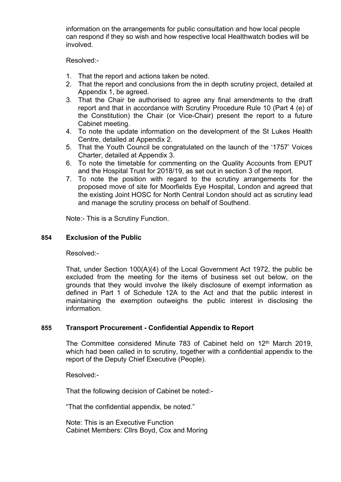information on the arrangements for public consultation and how local people can respond if they so wish and how respective local Healthwatch bodies will be involved.

Resolved:-

- 1. That the report and actions taken be noted.
- 2. That the report and conclusions from the in depth scrutiny project, detailed at Appendix 1, be agreed.
- 3. That the Chair be authorised to agree any final amendments to the draft report and that in accordance with Scrutiny Procedure Rule 10 (Part 4 (e) of the Constitution) the Chair (or Vice-Chair) present the report to a future Cabinet meeting.
- 4. To note the update information on the development of the St Lukes Health Centre, detailed at Appendix 2.
- 5. That the Youth Council be congratulated on the launch of the '1757' Voices Charter, detailed at Appendix 3.
- 6. To note the timetable for commenting on the Quality Accounts from EPUT and the Hospital Trust for 2018/19, as set out in section 3 of the report.
- 7. To note the position with regard to the scrutiny arrangements for the proposed move of site for Moorfields Eye Hospital, London and agreed that the existing Joint HOSC for North Central London should act as scrutiny lead and manage the scrutiny process on behalf of Southend.

Note:- This is a Scrutiny Function.

#### **854 Exclusion of the Public**

Resolved:-

That, under Section 100(A)(4) of the Local Government Act 1972, the public be excluded from the meeting for the items of business set out below, on the grounds that they would involve the likely disclosure of exempt information as defined in Part 1 of Schedule 12A to the Act and that the public interest in maintaining the exemption outweighs the public interest in disclosing the information.

#### **855 Transport Procurement - Confidential Appendix to Report**

The Committee considered Minute 783 of Cabinet held on 12<sup>th</sup> March 2019, which had been called in to scrutiny, together with a confidential appendix to the report of the Deputy Chief Executive (People).

Resolved:-

That the following decision of Cabinet be noted:-

"That the confidential appendix, be noted."

Note: This is an Executive Function Cabinet Members: Cllrs Boyd, Cox and Moring